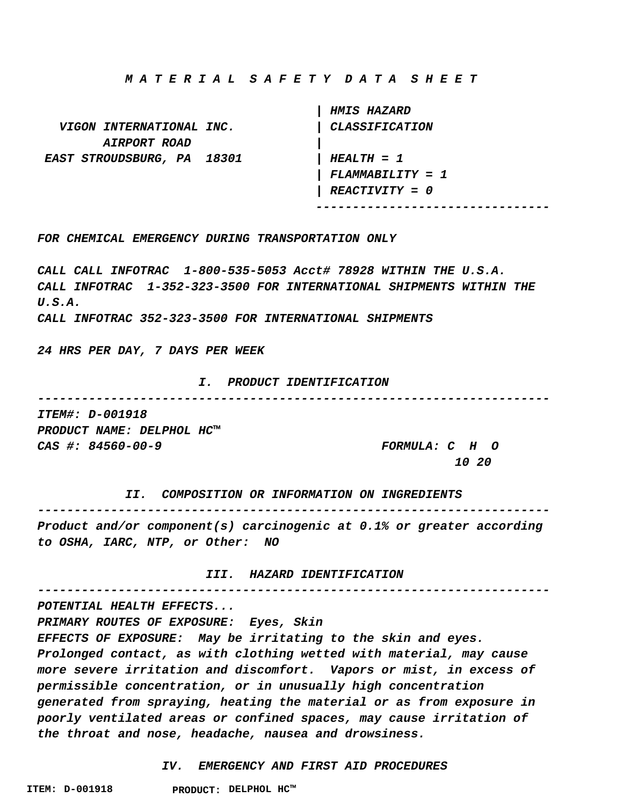**M A T E R I A L S A F E T Y D A T A S H E E T**

 **| HMIS HAZARD VIGON INTERNATIONAL INC. | CLASSIFICATION AIRPORT ROAD | EAST STROUDSBURG, PA 18301 | HEALTH = 1 | FLAMMABILITY = 1 | REACTIVITY = 0 --------------------------------**

**FOR CHEMICAL EMERGENCY DURING TRANSPORTATION ONLY**

**CALL CALL INFOTRAC 1-800-535-5053 Acct# 78928 WITHIN THE U.S.A. CALL INFOTRAC 1-352-323-3500 FOR INTERNATIONAL SHIPMENTS WITHIN THE U.S.A.**

**CALL INFOTRAC 352-323-3500 FOR INTERNATIONAL SHIPMENTS**

**24 HRS PER DAY, 7 DAYS PER WEEK**

#### **I. PRODUCT IDENTIFICATION**

**---------------------------------------------------------------------- ITEM#: D-001918**

**PRODUCT NAME: DELPHOL HC™ CAS #: 84560-00-9 FORMULA: C H O**

 **10 20**

 **II. COMPOSITION OR INFORMATION ON INGREDIENTS ---------------------------------------------------------------------- Product and/or component(s) carcinogenic at 0.1% or greater according to OSHA, IARC, NTP, or Other: NO**

 **III. HAZARD IDENTIFICATION ----------------------------------------------------------------------**

**POTENTIAL HEALTH EFFECTS... PRIMARY ROUTES OF EXPOSURE: Eyes, Skin EFFECTS OF EXPOSURE: May be irritating to the skin and eyes. Prolonged contact, as with clothing wetted with material, may cause more severe irritation and discomfort. Vapors or mist, in excess of permissible concentration, or in unusually high concentration generated from spraying, heating the material or as from exposure in poorly ventilated areas or confined spaces, may cause irritation of the throat and nose, headache, nausea and drowsiness.**

 **IV. EMERGENCY AND FIRST AID PROCEDURES**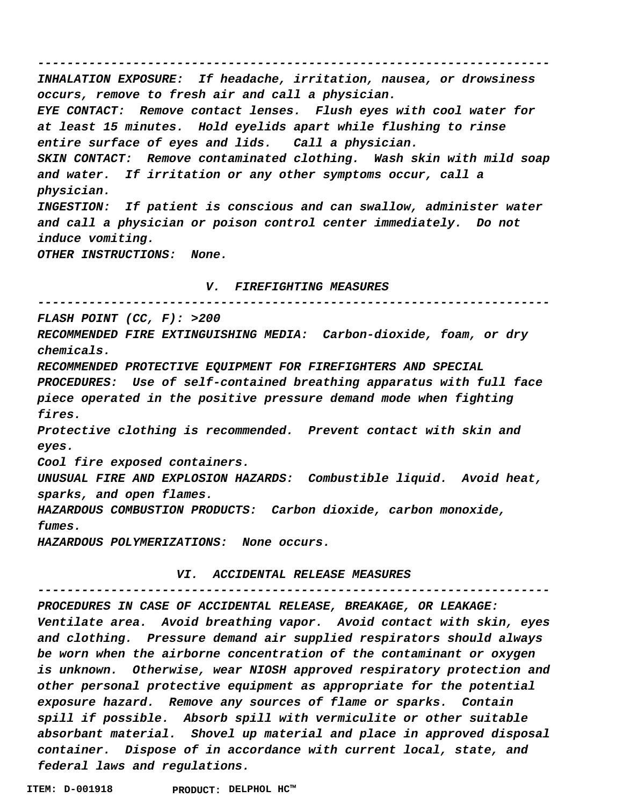**---------------------------------------------------------------------- INHALATION EXPOSURE: If headache, irritation, nausea, or drowsiness occurs, remove to fresh air and call a physician. EYE CONTACT: Remove contact lenses. Flush eyes with cool water for at least 15 minutes. Hold eyelids apart while flushing to rinse entire surface of eyes and lids. Call a physician. SKIN CONTACT: Remove contaminated clothing. Wash skin with mild soap and water. If irritation or any other symptoms occur, call a physician. INGESTION: If patient is conscious and can swallow, administer water and call a physician or poison control center immediately. Do not induce vomiting. OTHER INSTRUCTIONS: None. V. FIREFIGHTING MEASURES ---------------------------------------------------------------------- FLASH POINT (CC, F): >200 RECOMMENDED FIRE EXTINGUISHING MEDIA: Carbon-dioxide, foam, or dry chemicals. RECOMMENDED PROTECTIVE EQUIPMENT FOR FIREFIGHTERS AND SPECIAL**

**PROCEDURES: Use of self-contained breathing apparatus with full face piece operated in the positive pressure demand mode when fighting fires.**

**Protective clothing is recommended. Prevent contact with skin and eyes.**

**Cool fire exposed containers.**

**UNUSUAL FIRE AND EXPLOSION HAZARDS: Combustible liquid. Avoid heat, sparks, and open flames.**

**HAZARDOUS COMBUSTION PRODUCTS: Carbon dioxide, carbon monoxide, fumes.**

**HAZARDOUS POLYMERIZATIONS: None occurs.**

# **VI. ACCIDENTAL RELEASE MEASURES**

**----------------------------------------------------------------------**

**PROCEDURES IN CASE OF ACCIDENTAL RELEASE, BREAKAGE, OR LEAKAGE: Ventilate area. Avoid breathing vapor. Avoid contact with skin, eyes and clothing. Pressure demand air supplied respirators should always be worn when the airborne concentration of the contaminant or oxygen is unknown. Otherwise, wear NIOSH approved respiratory protection and other personal protective equipment as appropriate for the potential exposure hazard. Remove any sources of flame or sparks. Contain spill if possible. Absorb spill with vermiculite or other suitable absorbant material. Shovel up material and place in approved disposal container. Dispose of in accordance with current local, state, and federal laws and regulations.**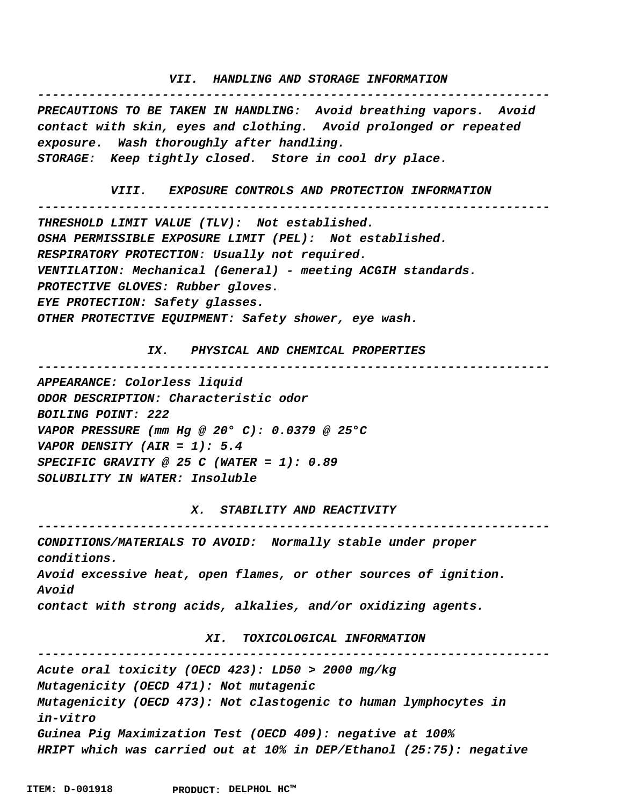# **VII. HANDLING AND STORAGE INFORMATION ----------------------------------------------------------------------**

**PRECAUTIONS TO BE TAKEN IN HANDLING: Avoid breathing vapors. Avoid contact with skin, eyes and clothing. Avoid prolonged or repeated exposure. Wash thoroughly after handling. STORAGE: Keep tightly closed. Store in cool dry place.**

```
 VIII. EXPOSURE CONTROLS AND PROTECTION INFORMATION
      ----------------------------------------------------------------------
THRESHOLD LIMIT VALUE (TLV): Not established.
OSHA PERMISSIBLE EXPOSURE LIMIT (PEL): Not established.
RESPIRATORY PROTECTION: Usually not required.
VENTILATION: Mechanical (General) - meeting ACGIH standards.
PROTECTIVE GLOVES: Rubber gloves.
EYE PROTECTION: Safety glasses.
OTHER PROTECTIVE EQUIPMENT: Safety shower, eye wash.
```
 **IX. PHYSICAL AND CHEMICAL PROPERTIES**

**----------------------------------------------------------------------**

**APPEARANCE: Colorless liquid ODOR DESCRIPTION: Characteristic odor BOILING POINT: 222 VAPOR PRESSURE (mm Hg @ 20° C): 0.0379 @ 25°C VAPOR DENSITY (AIR = 1): 5.4 SPECIFIC GRAVITY @ 25 C (WATER = 1): 0.89 SOLUBILITY IN WATER: Insoluble**

**----------------------------------------------------------------------**

 **X. STABILITY AND REACTIVITY**

**CONDITIONS/MATERIALS TO AVOID: Normally stable under proper conditions. Avoid excessive heat, open flames, or other sources of ignition. Avoid contact with strong acids, alkalies, and/or oxidizing agents.**

## **XI. TOXICOLOGICAL INFORMATION**

**---------------------------------------------------------------------- Acute oral toxicity (OECD 423): LD50 > 2000 mg/kg Mutagenicity (OECD 471): Not mutagenic Mutagenicity (OECD 473): Not clastogenic to human lymphocytes in in-vitro Guinea Pig Maximization Test (OECD 409): negative at 100% HRIPT which was carried out at 10% in DEP/Ethanol (25:75): negative**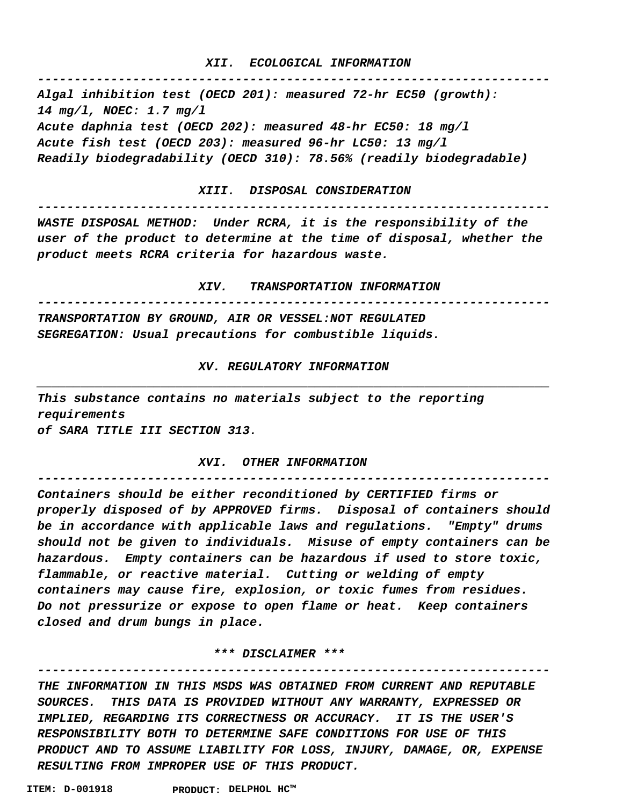# **XII. ECOLOGICAL INFORMATION**

**----------------------------------------------------------------------**

**Algal inhibition test (OECD 201): measured 72-hr EC50 (growth): 14 mg/l, NOEC: 1.7 mg/l Acute daphnia test (OECD 202): measured 48-hr EC50: 18 mg/l Acute fish test (OECD 203): measured 96-hr LC50: 13 mg/l Readily biodegradability (OECD 310): 78.56% (readily biodegradable)**

#### **XIII. DISPOSAL CONSIDERATION**

**---------------------------------------------------------------------- WASTE DISPOSAL METHOD: Under RCRA, it is the responsibility of the user of the product to determine at the time of disposal, whether the product meets RCRA criteria for hazardous waste.**

 **XIV. TRANSPORTATION INFORMATION**

**---------------------------------------------------------------------- TRANSPORTATION BY GROUND, AIR OR VESSEL:NOT REGULATED**

**SEGREGATION: Usual precautions for combustible liquids.**

# **XV. REGULATORY INFORMATION \_\_\_\_\_\_\_\_\_\_\_\_\_\_\_\_\_\_\_\_\_\_\_\_\_\_\_\_\_\_\_\_\_\_\_\_\_\_\_\_\_\_\_\_\_\_\_\_\_\_\_\_\_\_\_\_\_\_\_\_\_\_\_\_\_\_\_\_\_\_**

**This substance contains no materials subject to the reporting requirements of SARA TITLE III SECTION 313.**

#### **XVI. OTHER INFORMATION**

**----------------------------------------------------------------------**

**Containers should be either reconditioned by CERTIFIED firms or properly disposed of by APPROVED firms. Disposal of containers should be in accordance with applicable laws and regulations. "Empty" drums should not be given to individuals. Misuse of empty containers can be hazardous. Empty containers can be hazardous if used to store toxic, flammable, or reactive material. Cutting or welding of empty containers may cause fire, explosion, or toxic fumes from residues. Do not pressurize or expose to open flame or heat. Keep containers closed and drum bungs in place.**

## **\*\*\* DISCLAIMER \*\*\***

**---------------------------------------------------------------------- THE INFORMATION IN THIS MSDS WAS OBTAINED FROM CURRENT AND REPUTABLE SOURCES. THIS DATA IS PROVIDED WITHOUT ANY WARRANTY, EXPRESSED OR IMPLIED, REGARDING ITS CORRECTNESS OR ACCURACY. IT IS THE USER'S RESPONSIBILITY BOTH TO DETERMINE SAFE CONDITIONS FOR USE OF THIS PRODUCT AND TO ASSUME LIABILITY FOR LOSS, INJURY, DAMAGE, OR, EXPENSE RESULTING FROM IMPROPER USE OF THIS PRODUCT.**

**ITEM: D-001918 DELPHOL HC™ PRODUCT:**